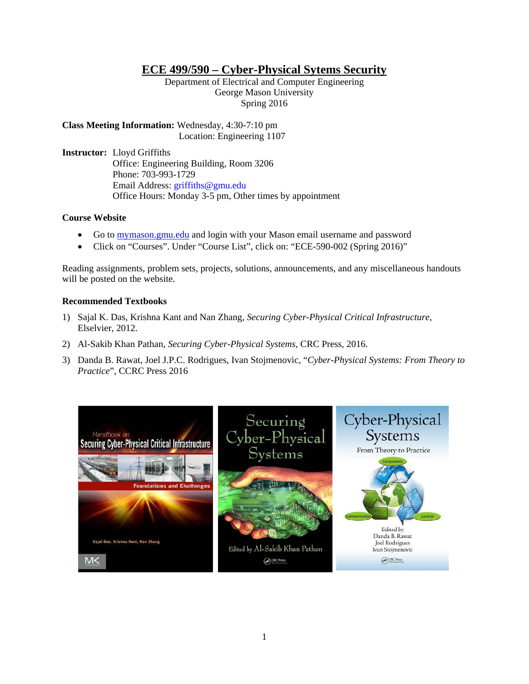# **ECE 499/590 – Cyber-Physical Sytems Security**

Department of Electrical and Computer Engineering George Mason University Spring 2016

**Class Meeting Information:** Wednesday, 4:30-7:10 pm Location: Engineering 1107

**Instructor:** Lloyd Griffiths Office: Engineering Building, Room 3206 Phone: 703-993-1729 Email Address: griffiths@gmu.edu Office Hours: Monday 3-5 pm, Other times by appointment

## **Course Website**

- Go to mymason.gmu.edu and login with your Mason email username and password
- Click on "Courses". Under "Course List", click on: "ECE-590-002 (Spring 2016)"

Reading assignments, problem sets, projects, solutions, announcements, and any miscellaneous handouts will be posted on the website.

## **Recommended Textbooks**

- 1) Sajal K. Das, Krishna Kant and Nan Zhang, *Securing Cyber-Physical Critical Infrastructure*, Elselvier, 2012.
- 2) Al-Sakib Khan Pathan, *Securing Cyber-Physical Systems*, CRC Press, 2016.
- 3) Danda B. Rawat, Joel J.P.C. Rodrigues, Ivan Stojmenovic, "*Cyber-Physical Systems: From Theory to Practice*", CCRC Press 2016

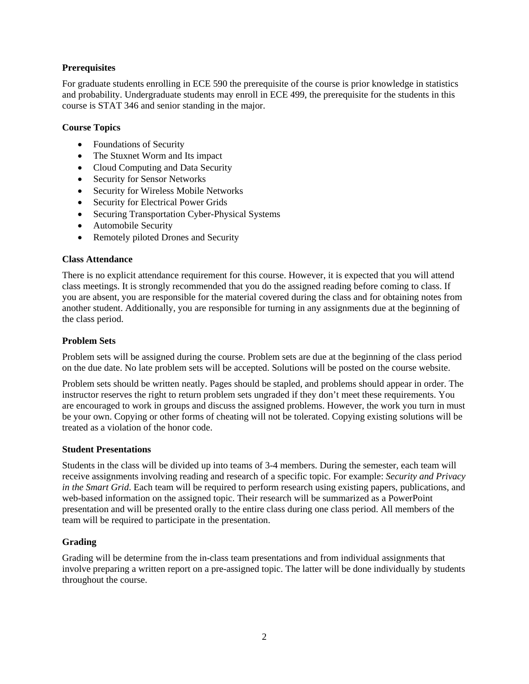# **Prerequisites**

For graduate students enrolling in ECE 590 the prerequisite of the course is prior knowledge in statistics and probability. Undergraduate students may enroll in ECE 499, the prerequisite for the students in this course is STAT 346 and senior standing in the major.

## **Course Topics**

- Foundations of Security
- The Stuxnet Worm and Its impact
- Cloud Computing and Data Security
- Security for Sensor Networks
- Security for Wireless Mobile Networks
- Security for Electrical Power Grids
- Securing Transportation Cyber-Physical Systems
- Automobile Security
- Remotely piloted Drones and Security

## **Class Attendance**

There is no explicit attendance requirement for this course. However, it is expected that you will attend class meetings. It is strongly recommended that you do the assigned reading before coming to class. If you are absent, you are responsible for the material covered during the class and for obtaining notes from another student. Additionally, you are responsible for turning in any assignments due at the beginning of the class period.

#### **Problem Sets**

Problem sets will be assigned during the course. Problem sets are due at the beginning of the class period on the due date. No late problem sets will be accepted. Solutions will be posted on the course website.

Problem sets should be written neatly. Pages should be stapled, and problems should appear in order. The instructor reserves the right to return problem sets ungraded if they don't meet these requirements. You are encouraged to work in groups and discuss the assigned problems. However, the work you turn in must be your own. Copying or other forms of cheating will not be tolerated. Copying existing solutions will be treated as a violation of the honor code.

## **Student Presentations**

Students in the class will be divided up into teams of 3-4 members. During the semester, each team will receive assignments involving reading and research of a specific topic. For example: *Security and Privacy in the Smart Grid*. Each team will be required to perform research using existing papers, publications, and web-based information on the assigned topic. Their research will be summarized as a PowerPoint presentation and will be presented orally to the entire class during one class period. All members of the team will be required to participate in the presentation.

## **Grading**

Grading will be determine from the in-class team presentations and from individual assignments that involve preparing a written report on a pre-assigned topic. The latter will be done individually by students throughout the course.